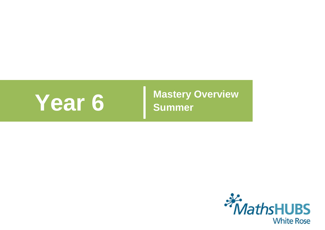

**Year 6 Mastery Overview Summer** 

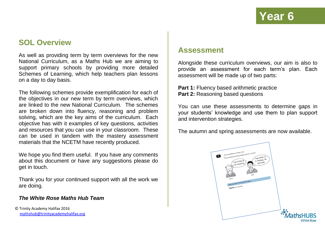## **SOL Overview**

As well as providing term by term overviews for the new National Curriculum, as a Maths Hub we are aiming to support primary schools by providing more detailed Schemes of Learning, which help teachers plan lessons on a day to day basis.

The following schemes provide exemplification for each of the objectives in our new term by term overviews, which are linked to the new National Curriculum. The schemes are broken down into fluency, reasoning and problem solving, which are the key aims of the curriculum. Each objective has with it examples of key questions, activities and resources that you can use in your classroom. These can be used in tandem with the mastery assessment materials that the NCETM have recently produced.

We hope you find them useful. If you have any comments about this document or have any suggestions please do get in touch.

Thank you for your continued support with all the work we are doing.

#### *The White Rose Maths Hub Team*

© Trinity Academy Halifax 2016 [mathshub@trinityacademyhalifax.org](mailto:mathshub@trinitYACADEMYHALIFAX.ORG)

#### **Assessment**

Alongside these curriculum overviews, our aim is also to provide an assessment for each term's plan. Each assessment will be made up of two parts:

**Part 1: Fluency based arithmetic practice Part 2: Reasoning based questions** 

You can use these assessments to determine gaps in your students' knowledge and use them to plan support and intervention strategies.

The autumn and spring assessments are now available.

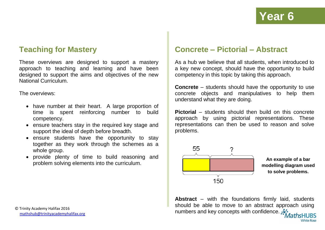### **Teaching for Mastery**

These overviews are designed to support a mastery approach to teaching and learning and have been designed to support the aims and objectives of the new National Curriculum.

The overviews:

- have number at their heart. A large proportion of time is spent reinforcing number to build competency.
- ensure teachers stay in the required key stage and support the ideal of depth before breadth.
- ensure students have the opportunity to stay together as they work through the schemes as a whole group.
- provide plenty of time to build reasoning and problem solving elements into the curriculum.

### **Concrete – Pictorial – Abstract**

As a hub we believe that all students, when introduced to a key new concept, should have the opportunity to build competency in this topic by taking this approach.

**Concrete** – students should have the opportunity to use concrete objects and manipulatives to help them understand what they are doing.

**Pictorial** – students should then build on this concrete approach by using pictorial representations. These representations can then be used to reason and solve problems.



**An example of a bar modelling diagram used to solve problems.**

**Abstract** – with the foundations firmly laid, students should be able to move to an abstract approach using numbers and key concepts with confidence.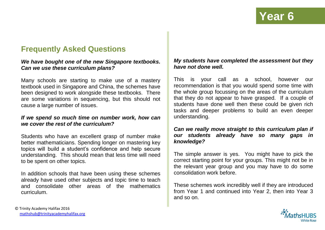## **Frequently Asked Questions**

#### *We have bought one of the new Singapore textbooks. Can we use these curriculum plans?*

Many schools are starting to make use of a mastery textbook used in Singapore and China, the schemes have been designed to work alongside these textbooks. There are some variations in sequencing, but this should not cause a large number of issues.

#### *If we spend so much time on number work, how can we cover the rest of the curriculum?*

Students who have an excellent grasp of number make better mathematicians. Spending longer on mastering key topics will build a student's confidence and help secure understanding. This should mean that less time will need to be spent on other topics.

In addition schools that have been using these schemes already have used other subjects and topic time to teach and consolidate other areas of the mathematics curriculum.

#### *My students have completed the assessment but they have not done well.*

This is your call as a school, however our recommendation is that you would spend some time with the whole group focussing on the areas of the curriculum that they do not appear to have grasped. If a couple of students have done well then these could be given rich tasks and deeper problems to build an even deeper understanding.

#### *Can we really move straight to this curriculum plan if our students already have so many gaps in knowledge?*

The simple answer is yes. You might have to pick the correct starting point for your groups. This might not be in the relevant year group and you may have to do some consolidation work before.

These schemes work incredibly well if they are introduced from Year 1 and continued into Year 2, then into Year 3 and so on.

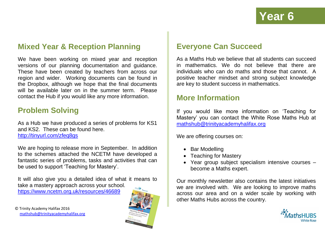## **Mixed Year & Reception Planning**

We have been working on mixed year and reception versions of our planning documentation and guidance. These have been created by teachers from across our region and wider. Working documents can be found in the Dropbox, although we hope that the final documents will be available later on in the summer term. Please contact the Hub if you would like any more information.

### **Problem Solving**

As a Hub we have produced a series of problems for KS1 and KS2. These can be found here. <http://tinyurl.com/zfeq8gs>

We are hoping to release more in September. In addition to the schemes attached the NCETM have developed a fantastic series of problems, tasks and activities that can be used to support 'Teaching for Mastery'.

It will also give you a detailed idea of what it means to take a mastery approach across your school.

<https://www.ncetm.org.uk/resources/46689>



## **Everyone Can Succeed**

As a Maths Hub we believe that all students can succeed in mathematics. We do not believe that there are individuals who can do maths and those that cannot. A positive teacher mindset and strong subject knowledge are key to student success in mathematics.

#### **More Information**

If you would like more information on 'Teaching for Mastery' you can contact the White Rose Maths Hub at [mathshub@trinityacademyhalifax.org](mailto:mathshub@trinityacademyhalifax.org)

We are offering courses on:

- Bar Modelling
- Teaching for Mastery
- Year group subject specialism intensive courses become a Maths expert.

Our monthly newsletter also contains the latest initiatives we are involved with. We are looking to improve maths across our area and on a wider scale by working with other Maths Hubs across the country.

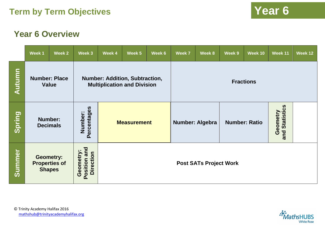## **Year 6 Overview**

|               | Week 1                                                    | Week 2 | Week 3                                       | Week 4                        | Week 5                                                                      | Week 6 | Week 7                 | Week 8 | Week 9               | Week 10                    | Week 11 | Week 12 |  |
|---------------|-----------------------------------------------------------|--------|----------------------------------------------|-------------------------------|-----------------------------------------------------------------------------|--------|------------------------|--------|----------------------|----------------------------|---------|---------|--|
| <b>Autumn</b> | <b>Number: Place</b><br><b>Value</b>                      |        |                                              |                               | <b>Number: Addition, Subtraction,</b><br><b>Multiplication and Division</b> |        | <b>Fractions</b>       |        |                      |                            |         |         |  |
| Spring        | <b>Number:</b><br><b>Decimals</b>                         |        | Percentages<br>Number:                       | <b>Measurement</b>            |                                                                             |        | <b>Number: Algebra</b> |        | <b>Number: Ratio</b> | and Statistics<br>Geometry |         |         |  |
| <b>Summer</b> | <b>Geometry:</b><br><b>Properties of</b><br><b>Shapes</b> |        | Position and<br><b>Direction</b><br>Geometry | <b>Post SATs Project Work</b> |                                                                             |        |                        |        |                      |                            |         |         |  |

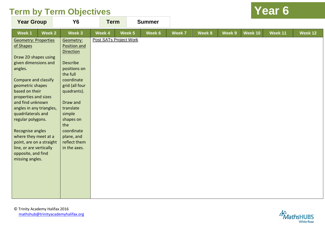| <b>Year Group</b>           | <b>Y6</b>        | <b>Term</b> |                               | <b>Summer</b> |        |        |        |         |         |                |
|-----------------------------|------------------|-------------|-------------------------------|---------------|--------|--------|--------|---------|---------|----------------|
| Week 2<br>Week 1            | Week 3           | Week 4      | Week 5                        | Week 6        | Week 7 | Week 8 | Week 9 | Week 10 | Week 11 | <b>Week 12</b> |
| <b>Geometry: Properties</b> | Geometry:        |             | <b>Post SATs Project Work</b> |               |        |        |        |         |         |                |
| of Shapes                   | Position and     |             |                               |               |        |        |        |         |         |                |
|                             | <b>Direction</b> |             |                               |               |        |        |        |         |         |                |
| Draw 2D shapes using        |                  |             |                               |               |        |        |        |         |         |                |
| given dimensions and        | <b>Describe</b>  |             |                               |               |        |        |        |         |         |                |
| angles.                     | positions on     |             |                               |               |        |        |        |         |         |                |
|                             | the full         |             |                               |               |        |        |        |         |         |                |
| <b>Compare and classify</b> | coordinate       |             |                               |               |        |        |        |         |         |                |
| geometric shapes            | grid (all four   |             |                               |               |        |        |        |         |         |                |
| based on their              | quadrants).      |             |                               |               |        |        |        |         |         |                |
| properties and sizes        |                  |             |                               |               |        |        |        |         |         |                |
| and find unknown            | Draw and         |             |                               |               |        |        |        |         |         |                |
| angles in any triangles,    | translate        |             |                               |               |        |        |        |         |         |                |
| quadrilaterals and          | simple           |             |                               |               |        |        |        |         |         |                |
| regular polygons.           | shapes on        |             |                               |               |        |        |        |         |         |                |
|                             | the              |             |                               |               |        |        |        |         |         |                |
| Recognise angles            | coordinate       |             |                               |               |        |        |        |         |         |                |
| where they meet at a        | plane, and       |             |                               |               |        |        |        |         |         |                |
| point, are on a straight    | reflect them     |             |                               |               |        |        |        |         |         |                |
| line, or are vertically     | in the axes.     |             |                               |               |        |        |        |         |         |                |
| opposite, and find          |                  |             |                               |               |        |        |        |         |         |                |
| missing angles.             |                  |             |                               |               |        |        |        |         |         |                |
|                             |                  |             |                               |               |        |        |        |         |         |                |
|                             |                  |             |                               |               |        |        |        |         |         |                |
|                             |                  |             |                               |               |        |        |        |         |         |                |
|                             |                  |             |                               |               |        |        |        |         |         |                |
|                             |                  |             |                               |               |        |        |        |         |         |                |
|                             |                  |             |                               |               |        |        |        |         |         |                |

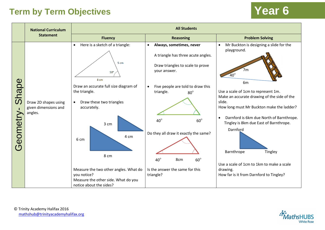|                   | <b>National Curriculum</b>                              | <b>All Students</b>                                                                                                                                                                                                                                                                                                                         |  |                                                                                                                                                                                                                                                                                                                                            |                                                                                                                                                                                                                                                                                                                                                                                                                                                                                                                |  |  |  |  |
|-------------------|---------------------------------------------------------|---------------------------------------------------------------------------------------------------------------------------------------------------------------------------------------------------------------------------------------------------------------------------------------------------------------------------------------------|--|--------------------------------------------------------------------------------------------------------------------------------------------------------------------------------------------------------------------------------------------------------------------------------------------------------------------------------------------|----------------------------------------------------------------------------------------------------------------------------------------------------------------------------------------------------------------------------------------------------------------------------------------------------------------------------------------------------------------------------------------------------------------------------------------------------------------------------------------------------------------|--|--|--|--|
|                   | <b>Statement</b>                                        | <b>Fluency</b>                                                                                                                                                                                                                                                                                                                              |  | <b>Reasoning</b>                                                                                                                                                                                                                                                                                                                           | <b>Problem Solving</b>                                                                                                                                                                                                                                                                                                                                                                                                                                                                                         |  |  |  |  |
| Shape<br>Geometry | Draw 2D shapes using<br>given dimensions and<br>angles. | Here is a sketch of a triangle:<br>$\bullet$<br>5 cm<br>$50^{\circ}$<br>8 cm<br>Draw an accurate full size diagram of<br>the triangle.<br>Draw these two triangles<br>accurately.<br>3 cm<br>4 cm<br>6 cm<br>8 cm<br>Measure the two other angles. What do<br>you notice?<br>Measure the other side. What do you<br>notice about the sides? |  | Always, sometimes, never<br>A triangle has three acute angles.<br>Draw triangles to scale to prove<br>your answer.<br>Five people are told to draw this<br>triangle.<br>$80^\circ$<br>$40^\circ$<br>$60^\circ$<br>Do they all draw it exactly the same?<br>$40^\circ$<br>$60^\circ$<br>8cm<br>Is the answer the same for this<br>triangle? | Mr Buckton is designing a slide for the<br>$\bullet$<br>playground.<br>7 <sub>m</sub><br>$40^\circ$<br>6 <sub>m</sub><br>Use a scale of 1cm to represent 1m.<br>Make an accurate drawing of the side of the<br>slide.<br>How long must Mr Buckton make the ladder?<br>Darnford is 6km due North of Barnthrope.<br>$\bullet$<br>Tingley is 8km due East of Barnthrope.<br>Darnford<br>Barnthrope<br>Tingley<br>Use a scale of 1cm to 1km to make a scale<br>drawing.<br>How far is it from Darnford to Tingley? |  |  |  |  |

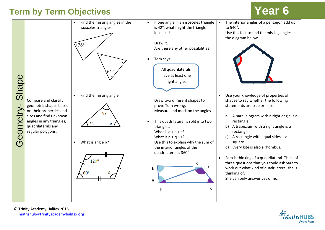

© Trinity Academy Halifax 2016 [mathshub@trinityacademyhalifax.org](mailto:mathshub@trinityacademyhalifax.org)

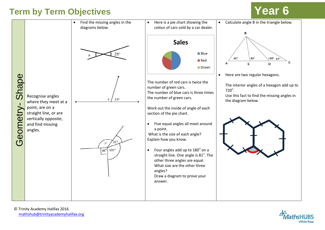

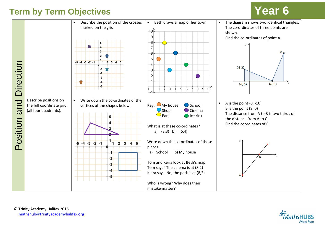